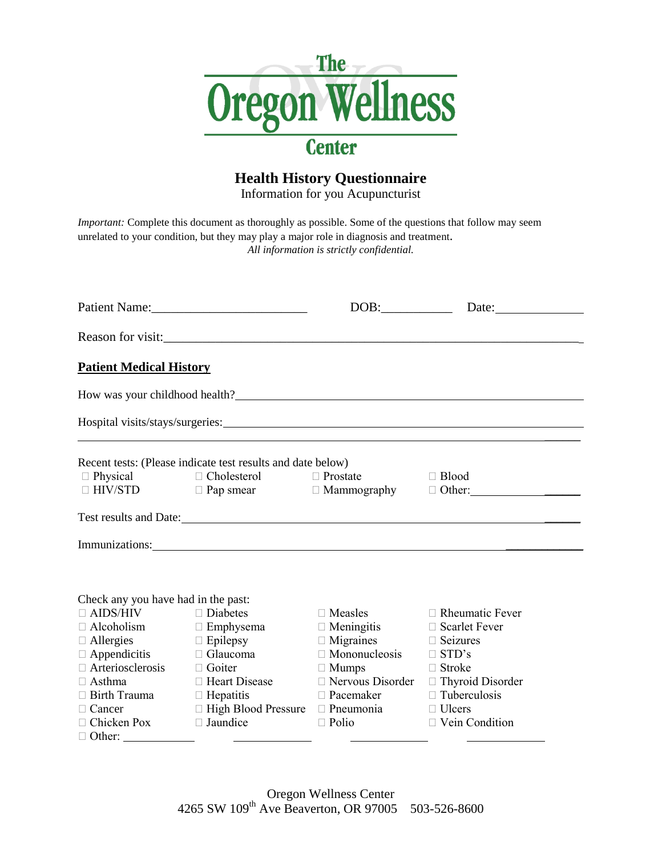

## **Health History Questionnaire**

Information for you Acupuncturist

*Important:* Complete this document as thoroughly as possible. Some of the questions that follow may seem unrelated to your condition, but they may play a major role in diagnosis and treatment. *All information is strictly confidential.*

|                                                                                                                                                                                                                                                   | Patient Name:                                                                                                                                                                                                                  |                                                                                                                                                           | Date: $\qquad \qquad$                                                                                                                                                                                                          |
|---------------------------------------------------------------------------------------------------------------------------------------------------------------------------------------------------------------------------------------------------|--------------------------------------------------------------------------------------------------------------------------------------------------------------------------------------------------------------------------------|-----------------------------------------------------------------------------------------------------------------------------------------------------------|--------------------------------------------------------------------------------------------------------------------------------------------------------------------------------------------------------------------------------|
|                                                                                                                                                                                                                                                   |                                                                                                                                                                                                                                |                                                                                                                                                           | Reason for visit:                                                                                                                                                                                                              |
| <b>Patient Medical History</b>                                                                                                                                                                                                                    |                                                                                                                                                                                                                                |                                                                                                                                                           |                                                                                                                                                                                                                                |
|                                                                                                                                                                                                                                                   | How was your childhood health? The contract of the contract of the contract of the contract of the contract of the contract of the contract of the contract of the contract of the contract of the contract of the contract of |                                                                                                                                                           |                                                                                                                                                                                                                                |
|                                                                                                                                                                                                                                                   |                                                                                                                                                                                                                                |                                                                                                                                                           | Hospital visits/stays/surgeries: North and the set of the set of the set of the set of the set of the set of the set of the set of the set of the set of the set of the set of the set of the set of the set of the set of the |
|                                                                                                                                                                                                                                                   | Recent tests: (Please indicate test results and date below)<br>$\Box$ Physical $\Box$ Cholesterol $\Box$ Prostate                                                                                                              |                                                                                                                                                           | $\Box$ Blood<br>$\Box$ HIV/STD $\Box$ Pap smear $\Box$ Mammography $\Box$ Other:                                                                                                                                               |
|                                                                                                                                                                                                                                                   |                                                                                                                                                                                                                                |                                                                                                                                                           |                                                                                                                                                                                                                                |
|                                                                                                                                                                                                                                                   | Immunizations:                                                                                                                                                                                                                 |                                                                                                                                                           |                                                                                                                                                                                                                                |
| Check any you have had in the past:                                                                                                                                                                                                               |                                                                                                                                                                                                                                |                                                                                                                                                           |                                                                                                                                                                                                                                |
| $\Box$ AIDS/HIV $\Box$ Diabetes<br>$\Box$ Allergies<br>$\Box$ Appendicitis $\Box$ Glaucoma<br>□ Arteriosclerosis<br>$\Box$ Asthma<br>$\Box$ Birth Trauma $\Box$ Hepatitis<br>$\Box$ Cancer<br>$\Box$ Chicken Pox $\Box$ Jaundice<br>$\Box$ Other: | $\Box$ Alcoholism $\Box$ Emphysema<br>$\Box$ Epilepsy<br>$\Box$ Goiter<br>$\Box$ Heart Disease<br>$\Box$ High Blood Pressure $\Box$ Pneumonia                                                                                  | $\Box$ Measles<br>$\Box$ Meningitis<br>$\Box$ Migraines<br>$\Box$ Mononucleosis<br>$\Box$ Mumps<br>□ Nervous Disorder<br>$\Box$ Pacemaker<br>$\Box$ Polio | $\Box$ Rheumatic Fever<br>$\Box$ Scarlet Fever<br>$\Box$ Seizures<br>$\square$ STD's<br>$\Box$ Stroke<br>$\Box$ Thyroid Disorder<br>$\Box$ Tuberculosis<br>$\Box$ Ulcers<br>$\Box$ Vein Condition                              |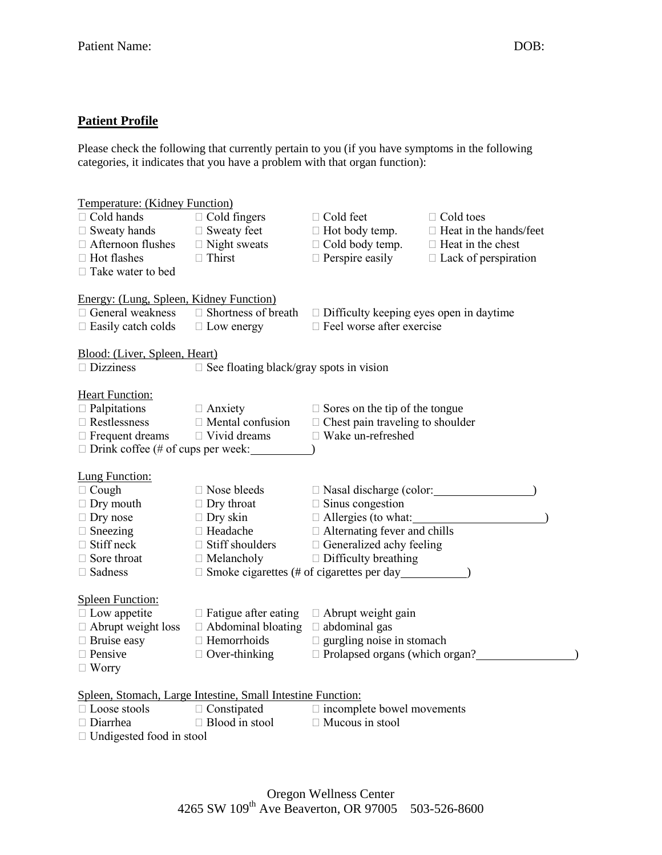## **Patient Profile**

Please check the following that currently pertain to you (if you have symptoms in the following categories, it indicates that you have a problem with that organ function):

| Temperature: (Kidney Function)              |                                                             |                                                                                    |                               |
|---------------------------------------------|-------------------------------------------------------------|------------------------------------------------------------------------------------|-------------------------------|
| □ Cold hands                                | $\Box$ Cold fingers                                         | $\Box$ Cold feet                                                                   | $\Box$ Cold toes              |
| $\Box$ Sweaty hands                         | $\Box$ Sweaty feet                                          | $\Box$ Hot body temp.                                                              | $\Box$ Heat in the hands/feet |
| $\Box$ Afternoon flushes                    | $\Box$ Night sweats                                         | $\Box$ Cold body temp.                                                             | $\Box$ Heat in the chest      |
| $\Box$ Hot flashes                          | $\Box$ Thirst                                               | $\Box$ Perspire easily                                                             | $\Box$ Lack of perspiration   |
| □ Take water to bed                         |                                                             |                                                                                    |                               |
| Energy: (Lung, Spleen, Kidney Function)     |                                                             |                                                                                    |                               |
| $\Box$ General weakness                     | $\Box$ Shortness of breath                                  |                                                                                    |                               |
| $\Box$ Easily catch colds                   | $\Box$ Low energy                                           | $\Box$ Difficulty keeping eyes open in daytime<br>$\Box$ Feel worse after exercise |                               |
|                                             |                                                             |                                                                                    |                               |
| Blood: (Liver, Spleen, Heart)               |                                                             |                                                                                    |                               |
| $\Box$ Dizziness                            | $\Box$ See floating black/gray spots in vision              |                                                                                    |                               |
| <b>Heart Function:</b>                      |                                                             |                                                                                    |                               |
| $\Box$ Palpitations                         | $\Box$ Anxiety                                              | $\Box$ Sores on the tip of the tongue                                              |                               |
| $\Box$ Restlessness                         | $\Box$ Mental confusion                                     | $\Box$ Chest pain traveling to shoulder                                            |                               |
| $\Box$ Frequent dreams                      | $\Box$ Vivid dreams                                         | $\Box$ Wake un-refreshed                                                           |                               |
| □ Drink coffee (# of cups per week: <u></u> |                                                             |                                                                                    |                               |
|                                             |                                                             |                                                                                    |                               |
| <b>Lung Function:</b>                       |                                                             |                                                                                    |                               |
| $\Box$ Cough                                | $\Box$ Nose bleeds                                          | □ Nasal discharge (color: <u>View</u>                                              |                               |
| $\Box$ Dry mouth                            | $\Box$ Dry throat                                           | $\Box$ Sinus congestion                                                            |                               |
| $\Box$ Dry nose                             | $\Box$ Dry skin                                             | $\Box$ Allergies (to what:                                                         |                               |
| $\Box$ Sneezing                             | □ Headache                                                  | $\Box$ Alternating fever and chills                                                |                               |
| $\Box$ Stiff neck                           | $\Box$ Stiff shoulders                                      | $\Box$ Generalized achy feeling                                                    |                               |
| $\Box$ Sore throat                          | $\Box$ Melancholy                                           | $\Box$ Difficulty breathing                                                        |                               |
| $\Box$ Sadness                              | $\Box$ Smoke cigarettes (# of cigarettes per day $\Box$     |                                                                                    |                               |
| <b>Spleen Function:</b>                     |                                                             |                                                                                    |                               |
| $\Box$ Low appetite                         | $\Box$ Fatigue after eating                                 | $\Box$ Abrupt weight gain                                                          |                               |
| $\Box$ Abrupt weight loss                   | $\Box$ Abdominal bloating                                   | $\Box$ abdominal gas                                                               |                               |
| $\Box$ Bruise easy                          | $\Box$ Hemorrhoids                                          | $\Box$ gurgling noise in stomach                                                   |                               |
| $\Box$ Pensive                              | $\Box$ Over-thinking                                        | □ Prolapsed organs (which organ?                                                   |                               |
| $\Box$ Worry                                |                                                             |                                                                                    |                               |
|                                             |                                                             |                                                                                    |                               |
|                                             | Spleen, Stomach, Large Intestine, Small Intestine Function: |                                                                                    |                               |
| $\Box$ Loose stools                         | $\Box$ Constipated                                          | $\Box$ incomplete bowel movements                                                  |                               |
| $\Box$ Diarrhea                             | $\Box$ Blood in stool                                       | $\Box$ Mucous in stool                                                             |                               |
| $\Box$ Undigested food in stool             |                                                             |                                                                                    |                               |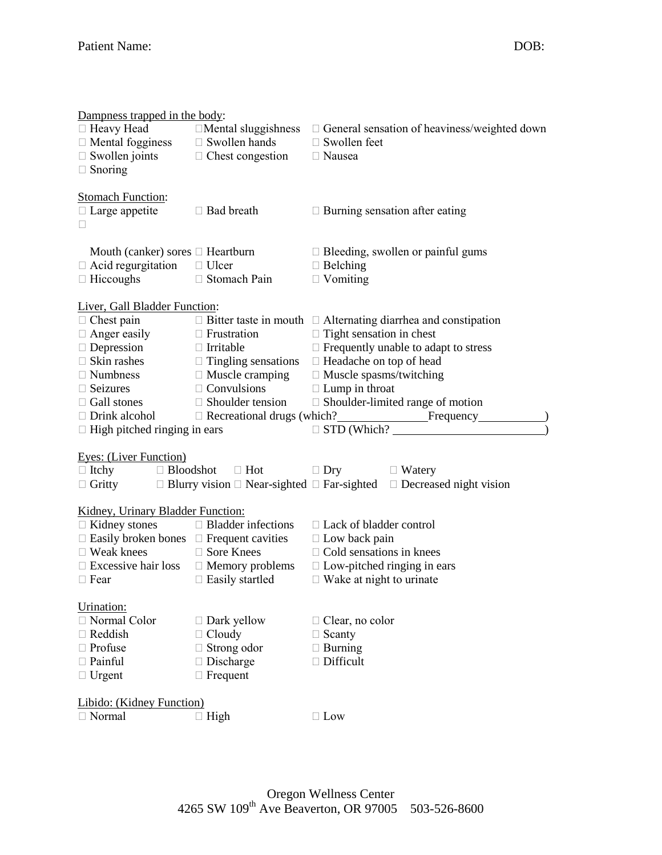| Dampness trapped in the body:                       |                            |                                                                                                         |  |
|-----------------------------------------------------|----------------------------|---------------------------------------------------------------------------------------------------------|--|
| $\Box$ Heavy Head                                   | $\Box$ Mental sluggishness | $\Box$ General sensation of heaviness/weighted down                                                     |  |
| $\Box$ Mental fogginess                             | $\Box$ Swollen hands       | $\Box$ Swollen feet                                                                                     |  |
| $\Box$ Swollen joints                               | $\Box$ Chest congestion    | $\Box$ Nausea                                                                                           |  |
| $\Box$ Snoring                                      |                            |                                                                                                         |  |
|                                                     |                            |                                                                                                         |  |
| <b>Stomach Function:</b>                            |                            |                                                                                                         |  |
| $\Box$ Large appetite                               | $\Box$ Bad breath          | $\Box$ Burning sensation after eating                                                                   |  |
| $\Box$                                              |                            |                                                                                                         |  |
|                                                     |                            |                                                                                                         |  |
| Mouth (canker) sores $\Box$ Heartburn               |                            | $\Box$ Bleeding, swollen or painful gums                                                                |  |
| $\Box$ Acid regurgitation $\Box$ Ulcer              |                            | $\Box$ Belching                                                                                         |  |
| $\Box$ Hiccoughs                                    | □ Stomach Pain             | $\Box$ Vomiting                                                                                         |  |
|                                                     |                            |                                                                                                         |  |
| Liver, Gall Bladder Function:                       |                            |                                                                                                         |  |
| $\Box$ Chest pain                                   |                            | $\Box$ Bitter taste in mouth $\Box$ Alternating diarrhea and constipation                               |  |
| $\Box$ Anger easily                                 | $\Box$ Frustration         | $\Box$ Tight sensation in chest                                                                         |  |
| $\Box$ Depression                                   | $\Box$ Irritable           | $\Box$ Frequently unable to adapt to stress                                                             |  |
| $\Box$ Skin rashes                                  | $\Box$ Tingling sensations | □ Headache on top of head                                                                               |  |
| $\Box$ Numbness                                     | $\Box$ Muscle cramping     | $\Box$ Muscle spasms/twitching                                                                          |  |
| $\Box$ Seizures                                     | $\Box$ Convulsions         | $\Box$ Lump in throat                                                                                   |  |
| $\Box$ Gall stones                                  | $\Box$ Shoulder tension    | $\Box$ Shoulder-limited range of motion                                                                 |  |
| $\Box$ Drink alcohol                                |                            |                                                                                                         |  |
| $\Box$ High pitched ringing in ears                 |                            |                                                                                                         |  |
|                                                     |                            |                                                                                                         |  |
| <b>Eyes: (Liver Function)</b>                       |                            |                                                                                                         |  |
| $\Box$ Itchy $\Box$ Bloodshot                       | $\Box$ Hot                 | $\Box$ Dry $\Box$ Watery                                                                                |  |
|                                                     |                            | $\Box$ Gritty $\Box$ Blurry vision $\Box$ Near-sighted $\Box$ Far-sighted $\Box$ Decreased night vision |  |
|                                                     |                            |                                                                                                         |  |
| Kidney, Urinary Bladder Function:                   |                            |                                                                                                         |  |
| $\Box$ Kidney stones                                | $\Box$ Bladder infections  | $\Box$ Lack of bladder control                                                                          |  |
| $\Box$ Easily broken bones $\Box$ Frequent cavities |                            | $\Box$ Low back pain                                                                                    |  |
| $\Box$ Weak knees                                   | □ Sore Knees               | $\Box$ Cold sensations in knees                                                                         |  |
| $\Box$ Excessive hair loss                          | $\Box$ Memory problems     | $\Box$ Low-pitched ringing in ears                                                                      |  |
| $\Box$ Fear                                         | $\Box$ Easily startled     | $\Box$ Wake at night to urinate                                                                         |  |
|                                                     |                            |                                                                                                         |  |
| Urination:                                          |                            |                                                                                                         |  |
| □ Normal Color                                      | $\Box$ Dark yellow         | $\Box$ Clear, no color                                                                                  |  |
| $\Box$ Reddish                                      | $\Box$ Cloudy              | $\Box$ Scanty                                                                                           |  |
| □ Profuse                                           | $\Box$ Strong odor         | $\Box$ Burning                                                                                          |  |
| $\Box$ Painful                                      | $\Box$ Discharge           | $\Box$ Difficult                                                                                        |  |
| $\Box$ Urgent                                       | $\Box$ Frequent            |                                                                                                         |  |
|                                                     |                            |                                                                                                         |  |
|                                                     |                            |                                                                                                         |  |
|                                                     |                            |                                                                                                         |  |
| Libido: (Kidney Function)<br>$\Box$ Normal          | $\Box$ High                | $\Box$ Low                                                                                              |  |